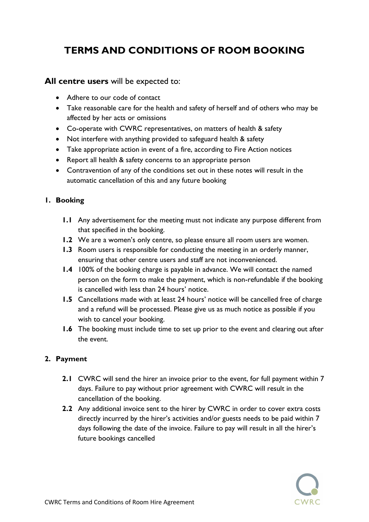# TERMS AND CONDITIONS OF ROOM BOOKING

### All centre users will be expected to:

- Adhere to our code of contact
- Take reasonable care for the health and safety of herself and of others who may be affected by her acts or omissions
- Co-operate with CWRC representatives, on matters of health & safety
- Not interfere with anything provided to safeguard health & safety
- Take appropriate action in event of a fire, according to Fire Action notices
- Report all health & safety concerns to an appropriate person
- Contravention of any of the conditions set out in these notes will result in the automatic cancellation of this and any future booking

#### 1. Booking

- 1.1 Any advertisement for the meeting must not indicate any purpose different from that specified in the booking.
- 1.2 We are a women's only centre, so please ensure all room users are women.
- 1.3 Room users is responsible for conducting the meeting in an orderly manner, ensuring that other centre users and staff are not inconvenienced.
- 1.4 100% of the booking charge is payable in advance. We will contact the named person on the form to make the payment, which is non-refundable if the booking is cancelled with less than 24 hours' notice.
- 1.5 Cancellations made with at least 24 hours' notice will be cancelled free of charge and a refund will be processed. Please give us as much notice as possible if you wish to cancel your booking.
- 1.6 The booking must include time to set up prior to the event and clearing out after the event.

#### 2. Payment

- 2.1 CWRC will send the hirer an invoice prior to the event, for full payment within 7 days. Failure to pay without prior agreement with CWRC will result in the cancellation of the booking.
- 2.2 Any additional invoice sent to the hirer by CWRC in order to cover extra costs directly incurred by the hirer's activities and/or guests needs to be paid within 7 days following the date of the invoice. Failure to pay will result in all the hirer's future bookings cancelled

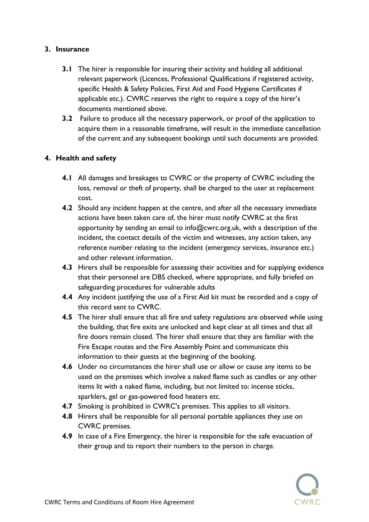#### 3. Insurance

- 3.1 The hirer is responsible for insuring their activity and holding all additional relevant paperwork (Licences, Professional Qualifications if registered activity, specific Health & Safety Policies, First Aid and Food Hygiene Certificates if applicable etc.). CWRC reserves the right to require a copy of the hirer's documents mentioned above.
- 3.2 Failure to produce all the necessary paperwork, or proof of the application to acquire them in a reasonable timeframe, will result in the immediate cancellation of the current and any subsequent bookings until such documents are provided.

#### 4. Health and safety

- 4.1 All damages and breakages to CWRC or the property of CWRC including the loss, removal or theft of property, shall be charged to the user at replacement cost.
- 4.2 Should any incident happen at the centre, and after all the necessary immediate actions have been taken care of, the hirer must notify CWRC at the first opportunity by sending an email to info@cwrc.org.uk, with a description of the incident, the contact details of the victim and witnesses, any action taken, any reference number relating to the incident (emergency services, insurance etc.) and other relevant information.
- 4.3 Hirers shall be responsible for assessing their activities and for supplying evidence that their personnel are DBS checked, where appropriate, and fully briefed on safeguarding procedures for vulnerable adults
- 4.4 Any incident justifying the use of a First Aid kit must be recorded and a copy of this record sent to CWRC.
- 4.5 The hirer shall ensure that all fire and safety regulations are observed while using the building, that fire exits are unlocked and kept clear at all times and that all fire doors remain closed. The hirer shall ensure that they are familiar with the Fire Escape routes and the Fire Assembly Point and communicate this information to their guests at the beginning of the booking.
- 4.6 Under no circumstances the hirer shall use or allow or cause any items to be used on the premises which involve a naked flame such as candles or any other items lit with a naked flame, including, but not limited to: incense sticks, sparklers, gel or gas-powered food heaters etc.
- 4.7 Smoking is prohibited in CWRC's premises. This applies to all visitors.
- 4.8 Hirers shall be responsible for all personal portable appliances they use on CWRC premises.
- 4.9 In case of a Fire Emergency, the hirer is responsible for the safe evacuation of their group and to report their numbers to the person in charge.

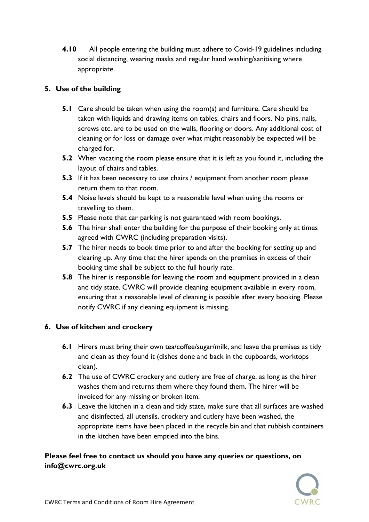4.10 All people entering the building must adhere to Covid-19 guidelines including social distancing, wearing masks and regular hand washing/sanitising where appropriate.

## 5. Use of the building

- 5.1 Care should be taken when using the room(s) and furniture. Care should be taken with liquids and drawing items on tables, chairs and floors. No pins, nails, screws etc. are to be used on the walls, flooring or doors. Any additional cost of cleaning or for loss or damage over what might reasonably be expected will be charged for.
- **5.2** When vacating the room please ensure that it is left as you found it, including the layout of chairs and tables.
- **5.3** If it has been necessary to use chairs / equipment from another room please return them to that room.
- **5.4** Noise levels should be kept to a reasonable level when using the rooms or travelling to them.
- **5.5** Please note that car parking is not guaranteed with room bookings.
- **5.6** The hirer shall enter the building for the purpose of their booking only at times agreed with CWRC (including preparation visits).
- **5.7** The hirer needs to book time prior to and after the booking for setting up and clearing up. Any time that the hirer spends on the premises in excess of their booking time shall be subject to the full hourly rate.
- **5.8** The hirer is responsible for leaving the room and equipment provided in a clean and tidy state. CWRC will provide cleaning equipment available in every room, ensuring that a reasonable level of cleaning is possible after every booking. Please notify CWRC if any cleaning equipment is missing.

# 6. Use of kitchen and crockery

- 6.1 Hirers must bring their own tea/coffee/sugar/milk, and leave the premises as tidy and clean as they found it (dishes done and back in the cupboards, worktops clean).
- 6.2 The use of CWRC crockery and cutlery are free of charge, as long as the hirer washes them and returns them where they found them. The hirer will be invoiced for any missing or broken item.
- 6.3 Leave the kitchen in a clean and tidy state, make sure that all surfaces are washed and disinfected, all utensils, crockery and cutlery have been washed, the appropriate items have been placed in the recycle bin and that rubbish containers in the kitchen have been emptied into the bins.

# Please feel free to contact us should you have any queries or questions, on info@cwrc.org.uk